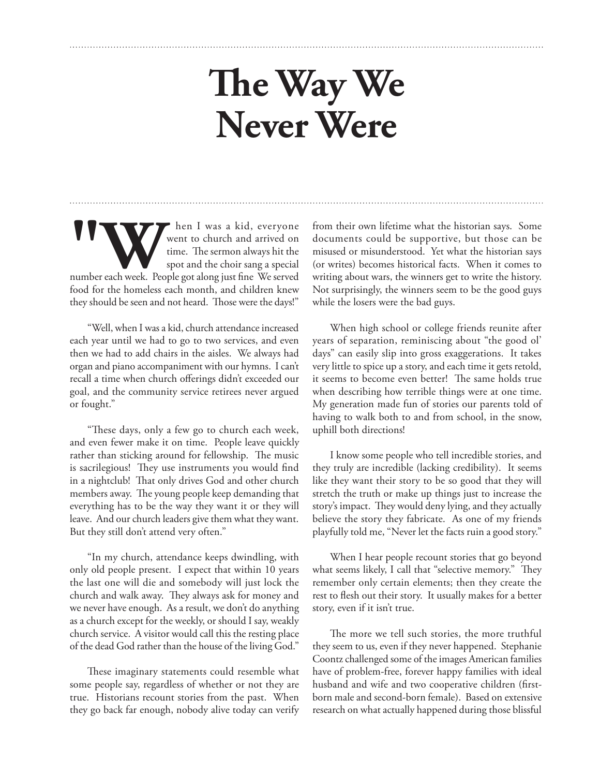## **The Way We Never Were**

**W WE ALONGE WE ARE IT WAS A Kid, everyone went to church and arrived on time.** The sermon always hit the spot and the choir sang a special number each week. People got along just fine We served went to church and arrived on time. The sermon always hit the spot and the choir sang a special food for the homeless each month, and children knew they should be seen and not heard. Those were the days!"

"Well, when I was a kid, church attendance increased each year until we had to go to two services, and even then we had to add chairs in the aisles. We always had organ and piano accompaniment with our hymns. I can't recall a time when church offerings didn't exceeded our goal, and the community service retirees never argued or fought."

"These days, only a few go to church each week, and even fewer make it on time. People leave quickly rather than sticking around for fellowship. The music is sacrilegious! They use instruments you would find in a nightclub! That only drives God and other church members away. The young people keep demanding that everything has to be the way they want it or they will leave. And our church leaders give them what they want. But they still don't attend very often."

"In my church, attendance keeps dwindling, with only old people present. I expect that within 10 years the last one will die and somebody will just lock the church and walk away. They always ask for money and we never have enough. As a result, we don't do anything as a church except for the weekly, or should I say, weakly church service. A visitor would call this the resting place of the dead God rather than the house of the living God."

These imaginary statements could resemble what some people say, regardless of whether or not they are true. Historians recount stories from the past. When they go back far enough, nobody alive today can verify from their own lifetime what the historian says. Some documents could be supportive, but those can be misused or misunderstood. Yet what the historian says (or writes) becomes historical facts. When it comes to writing about wars, the winners get to write the history. Not surprisingly, the winners seem to be the good guys while the losers were the bad guys.

When high school or college friends reunite after years of separation, reminiscing about "the good ol' days" can easily slip into gross exaggerations. It takes very little to spice up a story, and each time it gets retold, it seems to become even better! The same holds true when describing how terrible things were at one time. My generation made fun of stories our parents told of having to walk both to and from school, in the snow, uphill both directions!

I know some people who tell incredible stories, and they truly are incredible (lacking credibility). It seems like they want their story to be so good that they will stretch the truth or make up things just to increase the story's impact. They would deny lying, and they actually believe the story they fabricate. As one of my friends playfully told me, "Never let the facts ruin a good story."

When I hear people recount stories that go beyond what seems likely, I call that "selective memory." They remember only certain elements; then they create the rest to flesh out their story. It usually makes for a better story, even if it isn't true.

The more we tell such stories, the more truthful they seem to us, even if they never happened. Stephanie Coontz challenged some of the images American families have of problem-free, forever happy families with ideal husband and wife and two cooperative children (firstborn male and second-born female). Based on extensive research on what actually happened during those blissful